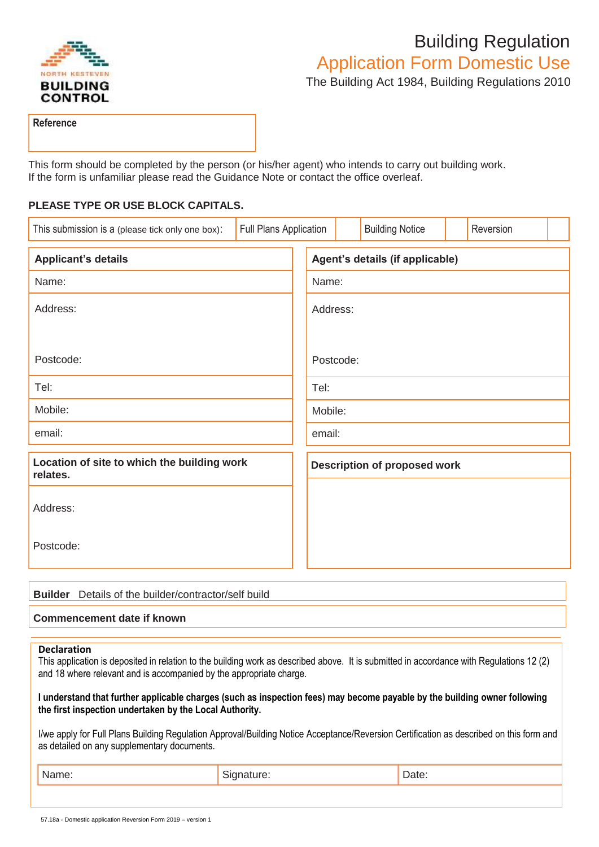

## Building Regulation

Application Form Domestic Use

The Building Act 1984, Building Regulations 2010

**Reference**

This form should be completed by the person (or his/her agent) who intends to carry out building work. If the form is unfamiliar please read the Guidance Note or contact the office overleaf.

## **PLEASE TYPE OR USE BLOCK CAPITALS.**

| This submission is a (please tick only one box):        | Full Plans Application |                                     |  | <b>Building Notice</b> |  | Reversion |  |
|---------------------------------------------------------|------------------------|-------------------------------------|--|------------------------|--|-----------|--|
| <b>Applicant's details</b>                              |                        | Agent's details (if applicable)     |  |                        |  |           |  |
| Name:                                                   |                        | Name:                               |  |                        |  |           |  |
| Address:                                                |                        | Address:                            |  |                        |  |           |  |
| Postcode:                                               |                        | Postcode:                           |  |                        |  |           |  |
| Tel:                                                    |                        | Tel:                                |  |                        |  |           |  |
| Mobile:                                                 |                        | Mobile:                             |  |                        |  |           |  |
| email:                                                  |                        | email:                              |  |                        |  |           |  |
| Location of site to which the building work<br>relates. |                        | <b>Description of proposed work</b> |  |                        |  |           |  |
| Address:                                                |                        |                                     |  |                        |  |           |  |
| Postcode:                                               |                        |                                     |  |                        |  |           |  |

| <b>Builder</b> Details of the builder/contractor/self build |
|-------------------------------------------------------------|
| Commencement date if known                                  |

## **Declaration**

This application is deposited in relation to the building work as described above. It is submitted in accordance with Regulations 12 (2) and 18 where relevant and is accompanied by the appropriate charge.

**I understand that further applicable charges (such as inspection fees) may become payable by the building owner following the first inspection undertaken by the Local Authority.**

I/we apply for Full Plans Building Regulation Approval/Building Notice Acceptance/Reversion Certification as described on this form and as detailed on any supplementary documents.

|  | . |
|--|---|
|  |   |